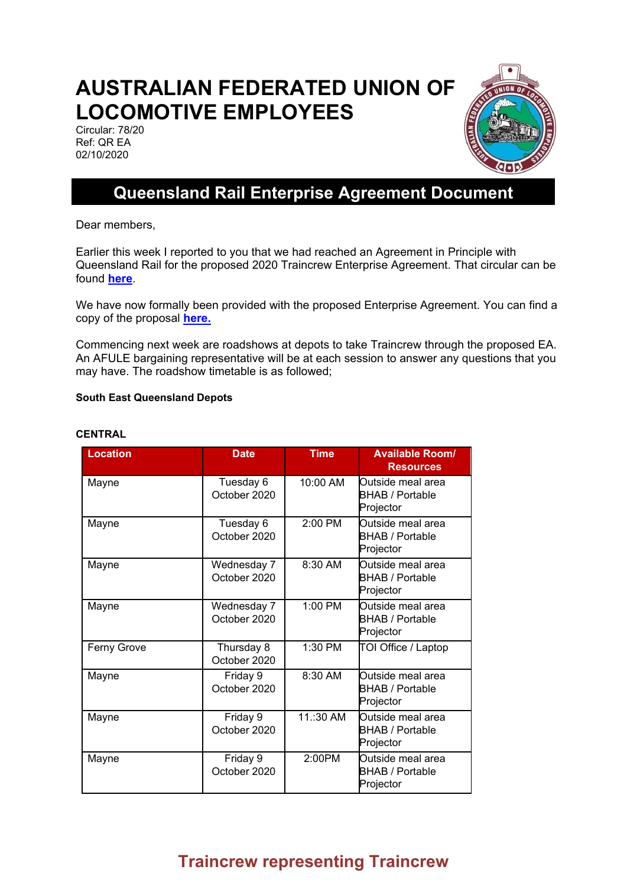# **AUSTRALIAN FEDERATED UNION OF LOCOMOTIVE EMPLOYEES**

Circular: 78/20 Ref: QR EA 02/10/2020



## **Queensland Rail Enterprise Agreement Document**

Dear members,

Earlier this week I reported to you that we had reached an Agreement in Principle with Queensland Rail for the proposed 2020 Traincrew Enterprise Agreement. That circular can be found **[here](http://www.afule.org.au/news-and-media/circulars/queensland-rail/510-queensland-rail-agreement-in-principle/file)**.

We have now formally been provided with the proposed Enterprise Agreement. You can find a copy of the proposal **[here.](https://mcusercontent.com/6ca636b181fba49268565c539/files/f02299ab-5b66-45e9-82fb-345c307bf6f1/Queensland_Rail_Traincrew_Enterprise_Agreement_2020_Draft_Proposed.pdf)**

Commencing next week are roadshows at depots to take Traincrew through the proposed EA. An AFULE bargaining representative will be at each session to answer any questions that you may have. The roadshow timetable is as followed;

#### **South East Queensland Depots**

| <b>Location</b> | <b>Date</b>                 | <b>Time</b> | <b>Available Room/</b><br><b>Resources</b>               |
|-----------------|-----------------------------|-------------|----------------------------------------------------------|
| Mayne           | Tuesday 6<br>October 2020   | 10:00 AM    | Outside meal area<br><b>BHAB / Portable</b><br>Projector |
| Mayne           | Tuesday 6<br>October 2020   | 2:00 PM     | Outside meal area<br><b>BHAB / Portable</b><br>Projector |
| Mayne           | Wednesday 7<br>October 2020 | 8:30 AM     | Outside meal area<br><b>BHAB / Portable</b><br>Projector |
| Mayne           | Wednesday 7<br>October 2020 | 1:00 PM     | Outside meal area<br><b>BHAB / Portable</b><br>Projector |
| Ferny Grove     | Thursday 8<br>October 2020  | 1:30 PM     | TOI Office / Laptop                                      |
| Mayne           | Friday 9<br>October 2020    | 8:30 AM     | Outside meal area<br>BHAB / Portable<br>Projector        |
| Mayne           | Friday 9<br>October 2020    | 11.:30 AM   | Outside meal area<br><b>BHAB / Portable</b><br>Projector |
| Mayne           | Friday 9<br>October 2020    | 2:00PM      | Outside meal area<br><b>BHAB / Portable</b><br>Projector |

#### **CENTRAL**

## **Traincrew representing Traincrew**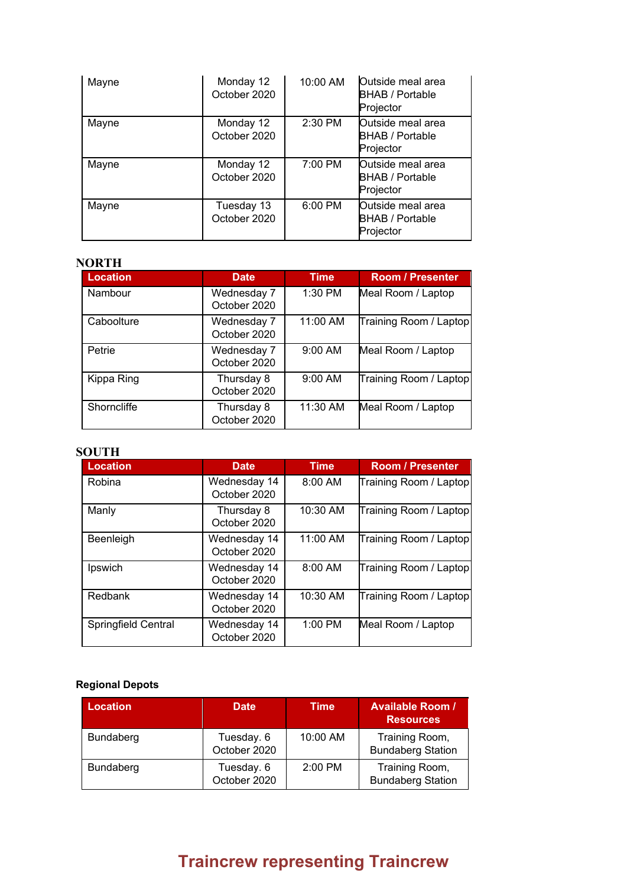| Mayne | Monday 12<br>October 2020  | 10:00 AM | Outside meal area<br><b>BHAB</b> / Portable<br>Projector |
|-------|----------------------------|----------|----------------------------------------------------------|
| Mayne | Monday 12<br>October 2020  | 2:30 PM  | Outside meal area<br><b>BHAB / Portable</b><br>Projector |
| Mayne | Monday 12<br>October 2020  | 7:00 PM  | Outside meal area<br><b>BHAB / Portable</b><br>Projector |
| Mayne | Tuesday 13<br>October 2020 | 6:00 PM  | Outside meal area<br><b>BHAB / Portable</b><br>Projector |

### **NORTH**

| <b>Location</b> | <b>Date</b>                 | <b>Time</b> | <b>Room / Presenter</b> |
|-----------------|-----------------------------|-------------|-------------------------|
| Nambour         | Wednesday 7<br>October 2020 | 1:30 PM     | Meal Room / Laptop      |
| Caboolture      | Wednesday 7<br>October 2020 | 11:00 AM    | Training Room / Laptop  |
| Petrie          | Wednesday 7<br>October 2020 | 9:00 AM     | Meal Room / Laptop      |
| Kippa Ring      | Thursday 8<br>October 2020  | 9:00 AM     | Training Room / Laptop  |
| Shorncliffe     | Thursday 8<br>October 2020  | 11:30 AM    | Meal Room / Laptop      |

### **SOUTH**

| <b>Location</b>            | <b>Date</b>                  | <b>Time</b> | <b>Room / Presenter</b> |
|----------------------------|------------------------------|-------------|-------------------------|
| Robina                     | Wednesday 14<br>October 2020 | 8:00 AM     | Training Room / Laptop  |
| Manly                      | Thursday 8<br>October 2020   | 10:30 AM    | Training Room / Laptop  |
| Beenleigh                  | Wednesday 14<br>October 2020 | 11:00 AM    | Training Room / Laptop  |
| Ipswich                    | Wednesday 14<br>October 2020 | $8:00$ AM   | Training Room / Laptop  |
| Redbank                    | Wednesday 14<br>October 2020 | 10:30 AM    | Training Room / Laptop  |
| <b>Springfield Central</b> | Wednesday 14<br>October 2020 | $1:00$ PM   | Meal Room / Laptop      |

### **Regional Depots**

| <b>Location</b>  | <b>Date</b>                | <b>Time</b> | <b>Available Room /</b><br><b>Resources</b> |
|------------------|----------------------------|-------------|---------------------------------------------|
| Bundaberg        | Tuesday. 6<br>October 2020 | 10:00 AM    | Training Room,<br><b>Bundaberg Station</b>  |
| <b>Bundaberg</b> | Tuesday. 6<br>October 2020 | 2:00 PM     | Training Room,<br><b>Bundaberg Station</b>  |

# **Traincrew representing Traincrew**